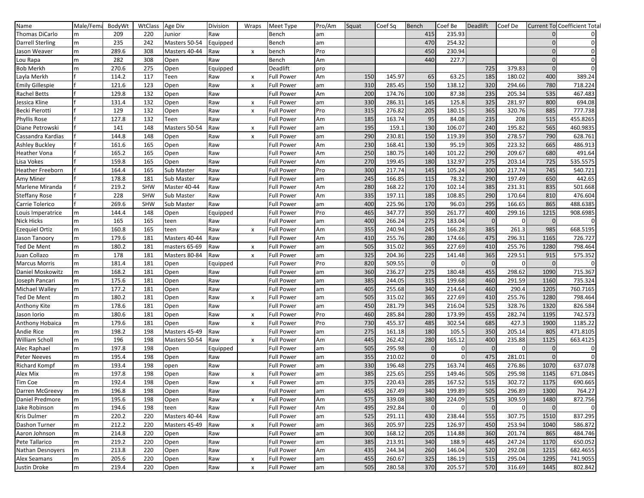| Name                    | Male/Fema | BodyWt | WtClass    | Age Div       | Division | Wraps          | Meet Type         | Pro/Am | Squat | Coef Sq | Bench        | Coef Be     | <b>Deadlift</b> | Coef De        |              | <b>Current To Coefficient Total</b> |
|-------------------------|-----------|--------|------------|---------------|----------|----------------|-------------------|--------|-------|---------|--------------|-------------|-----------------|----------------|--------------|-------------------------------------|
| Thomas DiCarlo          | m         | 209    | 220        | Junior        | Raw      |                | <b>Bench</b>      | am     |       |         | 415          | 235.93      |                 |                |              |                                     |
| <b>Darrell Sterling</b> | m         | 235    | 242        | Masters 50-54 | Equipped |                | Bench             | am     |       |         | 470          | 254.32      |                 |                |              |                                     |
| Jason Weaver            | m         | 289.6  | 308        | Masters 40-44 | Raw      | $\pmb{\chi}$   | bench             | Pro    |       |         | 450          | 230.94      |                 |                |              |                                     |
| Lou Rapa                | m         | 282    | 308        | Open          | Raw      |                | Bench             | Am     |       |         | 440          | 227.7       |                 |                | $\Omega$     |                                     |
| <b>Bob Merkh</b>        | m         | 270.6  | 275        | Open          | Equipped |                | Deadlift          | pro    |       |         |              |             | 725             | 379.83         | $\mathbf{0}$ |                                     |
| Layla Merkh             |           | 114.2  | 117        | Teen          | Raw      | $\pmb{\times}$ | <b>Full Power</b> | Am     | 150   | 145.97  | 65           | 63.25       | 185             | 180.02         | 400          | 389.24                              |
| <b>Emily Gillespie</b>  |           | 121.6  | 123        | Open          | Raw      | X              | <b>Full Power</b> | am     | 310   | 285.45  | 150          | 138.12      | 320             | 294.66         | 780          | 718.224                             |
| <b>Rachel Betts</b>     |           | 129.8  | 132        | Open          | Raw      |                | <b>Full Power</b> | Am     | 200   | 174.76  | 100          | 87.38       | 235             | 205.34         | 535          | 467.483                             |
| Jessica Kline           |           | 131.4  | 132        | Open          | Raw      | $\pmb{\times}$ | <b>Full Power</b> | am     | 330   | 286.31  | 145          | 125.8       | 325             | 281.97         | 800          | 694.08                              |
| Becki Pierotti          |           | 129    | 132        | Open          | Raw      | X              | <b>Full Power</b> | Pro    | 315   | 276.82  | 205          | 180.15      | 365             | 320.76         | 885          | 777.738                             |
| <b>Phyllis Rose</b>     |           | 127.8  | 132        | Teen          | Raw      |                | <b>Full Power</b> | Am     | 185   | 163.74  | 95           | 84.08       | 235             | 208            | 515          | 455.8265                            |
| Diane Petrowski         |           | 141    | 148        | Masters 50-54 | Raw      |                | <b>Full Power</b> |        | 195   | 159.1   | 130          | 106.07      | 240             | 195.82         | 565          | 460.9835                            |
|                         |           | 144.8  |            |               |          | $\pmb{\times}$ |                   | am     | 290   |         | 150          |             | 350             | 278.57         | 790          | 628.761                             |
| Cassandra Kardias       |           |        | 148        | Open          | Raw      | X              | Full Power        | am     |       | 230.81  |              | 119.39      |                 |                |              |                                     |
| Ashley Buckley          |           | 161.6  | 165        | Open          | Raw      |                | <b>Full Power</b> | Am     | 230   | 168.41  | 130          | 95.19       | 305             | 223.32         | 665          | 486.913                             |
| <b>Heather Vona</b>     |           | 165.2  | 165        | Open          | Raw      |                | Full Power        | Am     | 250   | 180.75  | 140          | 101.22      | 290             | 209.67         | 680          | 491.64                              |
| Lisa Vokes              |           | 159.8  | 165        | Open          | Raw      |                | <b>Full Power</b> | Am     | 270   | 199.45  | 180          | 132.97      | 275             | 203.14         | 725          | 535.5575                            |
| <b>Heather Freeborn</b> |           | 164.4  | 165        | Sub Master    | Raw      |                | <b>Full Power</b> | Pro    | 300   | 217.74  | 145          | 105.24      | 300             | 217.74         | 745          | 540.721                             |
| Amy Miner               |           | 178.8  | 181        | Sub Master    | Raw      |                | <b>Full Power</b> | am     | 245   | 166.85  | 115          | 78.32       | 290             | 197.49         | 650          | 442.65                              |
| Marlene Miranda         |           | 219.2  | <b>SHW</b> | Master 40-44  | Raw      |                | <b>Full Power</b> | Am     | 280   | 168.22  | 170          | 102.14      | 385             | 231.31         | 835          | 501.668                             |
| <b>Steffany Rose</b>    |           | 228    | <b>SHW</b> | Sub Master    | Raw      |                | Full Power        | Am     | 335   | 197.11  | 185          | 108.85      | 290             | 170.64         | 810          | 476.604                             |
| Carrie Tolerico         |           | 269.6  | <b>SHW</b> | Sub Master    | Raw      |                | <b>Full Power</b> | am     | 400   | 225.96  | 170          | 96.03       | 295             | 166.65         | 865          | 488.6385                            |
| Louis Imperatrice       | m         | 144.4  | 148        | Open          | Equipped |                | Full Power        | Pro    | 465   | 347.77  | 350          | 261.77      | 400             | 299.16         | 1215         | 908.6985                            |
| <b>Nick Hicks</b>       | m         | 165    | 165        | teen          | Raw      |                | <b>Full Power</b> | am     | 400   | 266.24  | 275          | 183.04      | $\Omega$        | <sup>n</sup>   | $\Omega$     |                                     |
| <b>Ezequiel Ortiz</b>   | m         | 160.8  | 165        | teen          | Raw      | X              | <b>Full Power</b> | Am     | 355   | 240.94  | 245          | 166.28      | 385             | 261.3          | 985          | 668.5195                            |
| Jason Tanoory           | m         | 179.6  | 181        | Masters 40-44 | Raw      |                | <b>Full Power</b> | Am     | 410   | 255.76  | 280          | 174.66      | 475             | 296.31         | 1165         | 726.727                             |
| Ted De Ment             | m         | 180.2  | 181        | masters 65-69 | Raw      | X              | <b>Full Power</b> | am     | 505   | 315.02  | 365          | 227.69      | 410             | 255.76         | 1280         | 798.464                             |
| Juan Collazo            | m         | 178    | 181        | Masters 80-84 | Raw      | X              | <b>Full Power</b> | am     | 325   | 204.36  | 225          | 141.48      | 365             | 229.51         | 915          | 575.352                             |
| <b>Marcus Morris</b>    | m         | 181.4  | 181        | Open          | Equipped |                | <b>Full Power</b> | Pro    | 820   | 509.55  | $\mathbf{0}$ | ŋ           | $\mathbf{0}$    | $\Omega$       | $\mathbf{0}$ |                                     |
| Daniel Moskowitz        | m         | 168.2  | 181        | Open          | Raw      |                | <b>Full Power</b> | am     | 360   | 236.27  | 275          | 180.48      | 455             | 298.62         | 1090         | 715.367                             |
| Joseph Pancari          | m         | 175.6  | 181        | Open          | Raw      |                | Full Power        | am     | 385   | 244.05  | 315          | 199.68      | 460             | 291.59         | 1160         | 735.324                             |
| <b>Michael Walley</b>   | m         | 177.2  | 181        | Open          | Raw      |                | <b>Full Power</b> | am     | 405   | 255.68  | 340          | 214.64      | 460             | 290.4          | 1205         | 760.7165                            |
| Ted De Ment             | m         | 180.2  | 181        | Open          | Raw      | X              | <b>Full Power</b> | am     | 505   | 315.02  | 365          | 227.69      | 410             | 255.76         | 1280         | 798.464                             |
| Anthony Kite            | m         | 178.6  | 181        | Open          | Raw      |                | <b>Full Power</b> | am     | 450   | 281.79  | 345          | 216.04      | 525             | 328.76         | 1320         | 826.584                             |
| Jason Iorio             | m         | 180.6  | 181        | Open          | Raw      | X              | <b>Full Power</b> | Pro    | 460   | 285.84  | 280          | 173.99      | 455             | 282.74         | 1195         | 742.573                             |
| Anthony Hobaica         | m         | 179.6  | 181        | Open          | Raw      | X              | <b>Full Power</b> | Pro    | 730   | 455.37  | 485          | 302.54      | 685             | 427.3          | 1900         | 1185.22                             |
| <b>Andie Rice</b>       | m         | 198.2  | 198        | Masters 45-49 | Raw      |                | <b>Full Power</b> | am     | 275   | 161.18  | 180          | 105.5       | 350             | 205.14         | 805          | 471.8105                            |
| William Scholl          | m         | 196    | 198        | Masters 50-54 | Raw      | X              | <b>Full Power</b> | Am     | 445   | 262.42  | 280          | 165.12      | 400             | 235.88         | 1125         | 663.4125                            |
| Alec Raphael            | m         | 197.8  | 198        | Open          | Equipped |                | <b>Full Power</b> | am     | 505   | 295.98  | $\mathbf{0}$ |             |                 | $\Omega$       |              |                                     |
| <b>Peter Neeves</b>     | m         | 195.4  | 198        | Open          | Raw      |                | <b>Full Power</b> | am     | 355   | 210.02  | $\Omega$     | $\Omega$    | 475             | 281.01         | $\sqrt{ }$   |                                     |
| <b>Richard Kompf</b>    | m         | 193.4  | 198        | open          | Raw      |                | <b>Full Power</b> | am     | 330   | 196.48  | 275          | 163.74      | 465             | 276.86         | 1070         | 637.078                             |
| Alex Mix                | m         | 197.8  | 198        | Open          | Raw      | X              | <b>Full Power</b> | am     | 385   | 225.65  | 255          | 149.46      | 505             | 295.98         | 1145         | 671.0845                            |
| Tim Coe                 | m         | 192.4  | 198        | Open          | Raw      |                | <b>Full Power</b> | am     | 375   | 220.43  | 285          | 167.52      | 515             | 302.72         | 1175         | 690.665                             |
|                         |           | 196.8  |            |               | Raw      | x              | <b>Full Power</b> |        |       |         |              | 199.89      |                 | 296.89         | 1300         |                                     |
| Darren McGreevy         | m         |        | 198        | Open          |          |                |                   | am     | 455   | 267.49  | 340          |             | 505             |                |              | 764.27                              |
| Daniel Predmore         | m         | 195.6  | 198        | Open          | Raw      | X              | <b>Full Power</b> | Am     | 575   | 339.08  | 380          | 224.09      | 525             | 309.59         | 1480         | 872.756                             |
| Jake Robinson           | ${\sf m}$ | 194.6  | 198        | teen          | Raw      |                | <b>Full Power</b> | Am     | 495   | 292.84  | $\mathbf 0$  | $\mathbf 0$ | $\mathbf 0$     | $\overline{0}$ | $\mathbf{0}$ |                                     |
| <b>Kris Dulmer</b>      | m         | 220.2  | 220        | Masters 40-44 | Raw      |                | <b>Full Power</b> | am     | 525   | 291.11  | 430          | 238.44      | 555             | 307.75         | 1510         | 837.295                             |
| Dashon Turner           | m         | 212.2  | 220        | Masters 45-49 | Raw      | X              | <b>Full Power</b> | am     | 365   | 205.97  | 225          | 126.97      | 450             | 253.94         | 1040         | 586.872                             |
| Aaron Johnson           | m         | 214.8  | 220        | Open          | Raw      |                | <b>Full Power</b> | am     | 300   | 168.12  | 205          | 114.88      | 360             | 201.74         | 865          | 484.746                             |
| Pete Tallarico          | m         | 219.2  | 220        | Open          | Raw      |                | <b>Full Power</b> | am     | 385   | 213.91  | 340          | 188.9       | 445             | 247.24         | 1170         | 650.052                             |
| Nathan Desnoyers        | m         | 213.8  | 220        | Open          | Raw      |                | <b>Full Power</b> | Am     | 435   | 244.34  | 260          | 146.04      | 520             | 292.08         | 1215         | 682.4655                            |
| Alex Seamans            | m         | 205.6  | 220        | Open          | Raw      | X              | <b>Full Power</b> | am     | 455   | 260.67  | 325          | 186.19      | 515             | 295.04         | 1295         | 741.9055                            |
| Justin Droke            | m         | 219.4  | 220        | Open          | Raw      | X              | <b>Full Power</b> | am     | 505   | 280.58  | 370          | 205.57      | 570             | 316.69         | 1445         | 802.842                             |